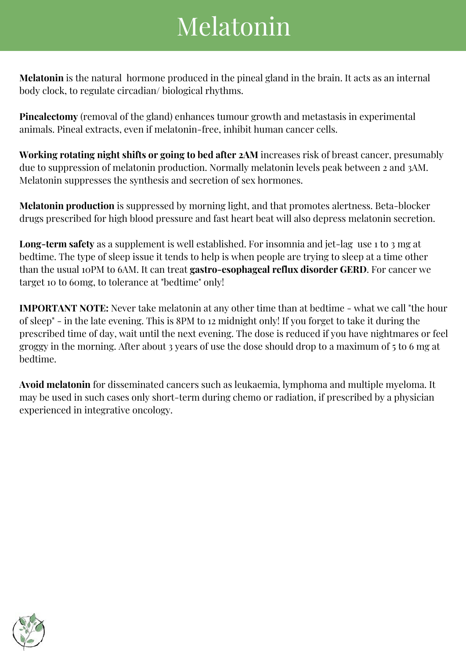## Melatonin

**Melatonin** is the natural hormone produced in the pineal gland in the brain. It acts as an internal body clock, to regulate circadian/ biological rhythms.

**Pinealectomy** (removal of the gland) enhances tumour growth and metastasis in experimental animals. Pineal extracts, even if melatonin-free, inhibit human cancer cells.

**Working rotating night shifts or going to bed after 2AM** increases risk of breast cancer, presumably due to suppression of melatonin production. Normally melatonin levels peak between 2 and 3AM. Melatonin suppresses the synthesis and secretion of sex hormones.

**Melatonin production** is suppressed by morning light, and that promotes alertness. Beta-blocker drugs prescribed for high blood pressure and fast heart beat will also depress melatonin secretion.

**Long-term safety** as a supplement is well established. For insomnia and jet-lag use 1 to 3 mg at bedtime. The type of sleep issue it tends to help is when people are trying to sleep at a time other than the usual 10PM to 6AM. It can treat **gastro-esophageal reflux disorder GERD**. For cancer we target 10 to 60mg, to tolerance at "bedtime" only!

**IMPORTANT NOTE:** Never take melatonin at any other time than at bedtime - what we call "the hour of sleep" - in the late evening. This is 8PM to 12 midnight only! If you forget to take it during the prescribed time of day, wait until the next evening. The dose is reduced if you have nightmares or feel groggy in the morning. After about 3 years of use the dose should drop to a maximum of 5 to 6 mg at bedtime.

**Avoid melatonin** for disseminated cancers such as leukaemia, lymphoma and multiple myeloma. It may be used in such cases only short-term during chemo or radiation, if prescribed by a physician experienced in integrative oncology.

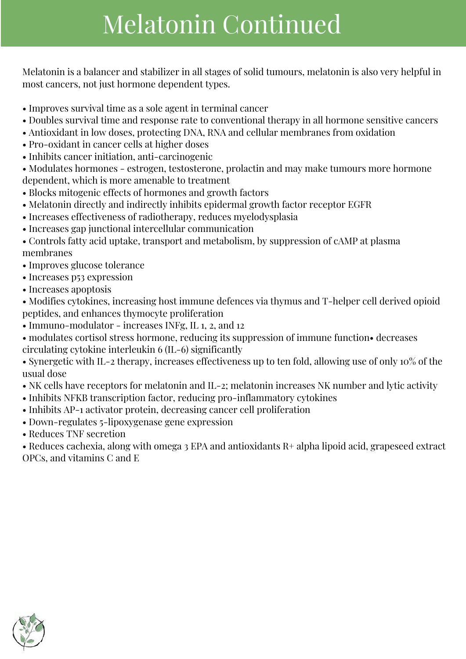## Melatonin Continued

Melatonin is a balancer and stabilizer in all stages of solid tumours, melatonin is also very helpful in most cancers, not just hormone dependent types.

- Improves survival time as a sole agent in terminal cancer
- Doubles survival time and response rate to conventional therapy in all hormone sensitive cancers
- Antioxidant in low doses, protecting DNA, RNA and cellular membranes from oxidation
- Pro-oxidant in cancer cells at higher doses
- Inhibits cancer initiation, anti-carcinogenic

• Modulates hormones - estrogen, testosterone, prolactin and may make tumours more hormone dependent, which is more amenable to treatment

- Blocks mitogenic effects of hormones and growth factors
- Melatonin directly and indirectly inhibits epidermal growth factor receptor EGFR
- Increases effectiveness of radiotherapy, reduces myelodysplasia
- Increases gap junctional intercellular communication
- Controls fatty acid uptake, transport and metabolism, by suppression of cAMP at plasma membranes
- Improves glucose tolerance
- Increases p53 expression
- Increases apoptosis
- Modifies cytokines, increasing host immune defences via thymus and T-helper cell derived opioid peptides, and enhances thymocyte proliferation
- Immuno-modulator increases INFg, IL 1, 2, and 12
- modulates cortisol stress hormone, reducing its suppression of immune function• decreases circulating cytokine interleukin 6 (IL-6) significantly

• Synergetic with IL-2 therapy, increases effectiveness up to ten fold, allowing use of only 10% of the usual dose

- NK cells have receptors for melatonin and IL-2; melatonin increases NK number and lytic activity
- Inhibits NFKB transcription factor, reducing pro-inflammatory cytokines
- Inhibits AP-1 activator protein, decreasing cancer cell proliferation
- Down-regulates 5-lipoxygenase gene expression
- Reduces TNF secretion

• Reduces cachexia, along with omega 3 EPA and antioxidants R+ alpha lipoid acid, grapeseed extract OPCs, and vitamins C and E